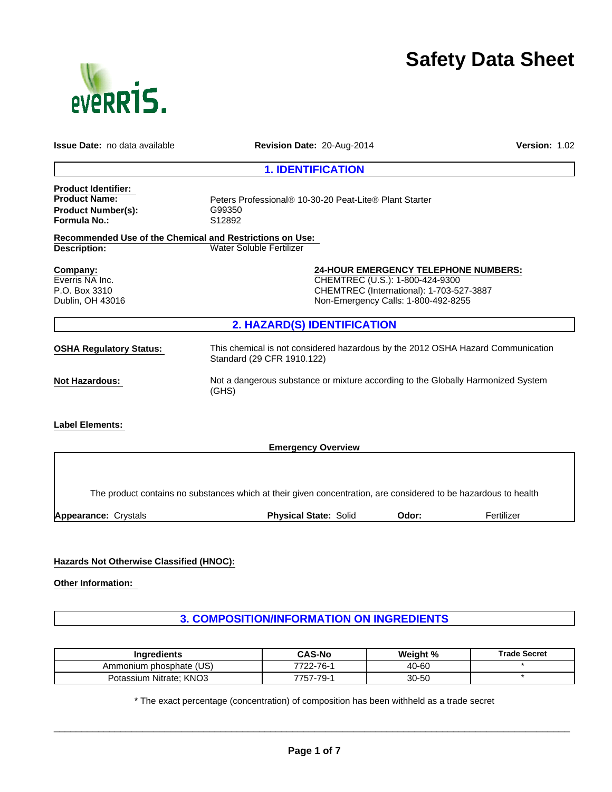

# **Safety Data Sheet**

| <b>Issue Date:</b> no data available                                                                   | Revision Date: 20-Aug-2014                                                                                                                                        | Version: 1.02 |
|--------------------------------------------------------------------------------------------------------|-------------------------------------------------------------------------------------------------------------------------------------------------------------------|---------------|
|                                                                                                        | <b>1. IDENTIFICATION</b>                                                                                                                                          |               |
| <b>Product Identifier:</b><br><b>Product Name:</b><br><b>Product Number(s):</b><br><b>Formula No.:</b> | Peters Professional <sup>®</sup> 10-30-20 Peat-Lite <sup>®</sup> Plant Starter<br>G99350<br>S12892                                                                |               |
| <b>Recommended Use of the Chemical and Restrictions on Use:</b><br>Description:                        | Water Soluble Fertilizer                                                                                                                                          |               |
| Company:<br>Everris NA Inc.<br>P.O. Box 3310<br>Dublin, OH 43016                                       | <b>24-HOUR EMERGENCY TELEPHONE NUMBERS:</b><br>CHEMTREC (U.S.): 1-800-424-9300<br>CHEMTREC (International): 1-703-527-3887<br>Non-Emergency Calls: 1-800-492-8255 |               |
|                                                                                                        | 2. HAZARD(S) IDENTIFICATION                                                                                                                                       |               |
| <b>OSHA Regulatory Status:</b>                                                                         | This chemical is not considered hazardous by the 2012 OSHA Hazard Communication<br>Standard (29 CFR 1910.122)                                                     |               |
| <b>Not Hazardous:</b>                                                                                  | Not a dangerous substance or mixture according to the Globally Harmonized System<br>(GHS)                                                                         |               |
| <b>Label Elements:</b>                                                                                 |                                                                                                                                                                   |               |
|                                                                                                        | <b>Emergency Overview</b>                                                                                                                                         |               |
|                                                                                                        |                                                                                                                                                                   |               |
|                                                                                                        | The product contains no substances which at their given concentration, are considered to be hazardous to health                                                   |               |
| Appearance: Crystals                                                                                   | <b>Physical State: Solid</b><br>Odor:                                                                                                                             | Fertilizer    |

# **Hazards Not Otherwise Classified (HNOC):**

**Other Information:** 

# **3. COMPOSITION/INFORMATION ON INGREDIENTS**

| <b>Ingredients</b>      | <b>CAS-No</b> | Weight % | <b>Trade Secret</b> |
|-------------------------|---------------|----------|---------------------|
| Ammonium phosphate (US) | 7722-76-1     | 40-60    |                     |
| Potassium Nitrate; KNO3 | 757-79-′      | 30-50    |                     |

\* The exact percentage (concentration) of composition has been withheld as a trade secret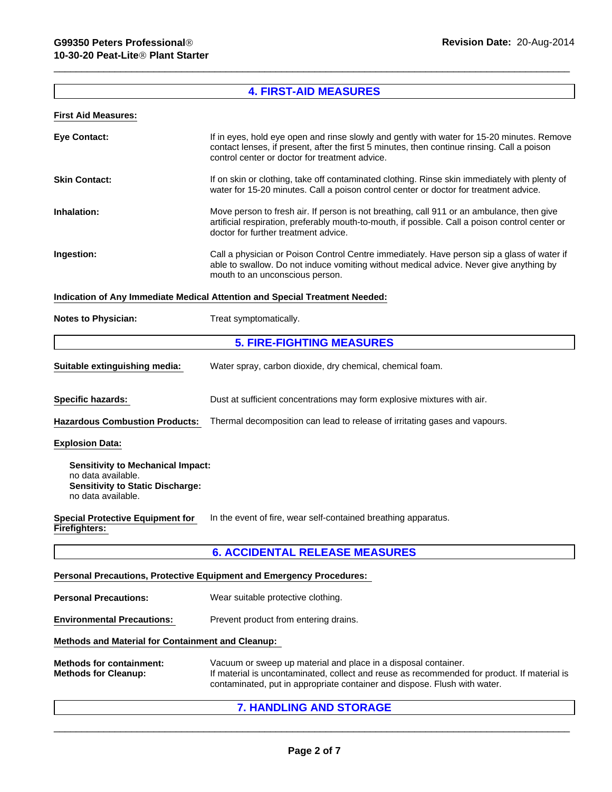## **4. FIRST-AID MEASURES**

# **First Aid Measures:**

|                            | <b>5. FIRE-FIGHTING MEASURES</b>                                                                                                                                                                                                            |  |
|----------------------------|---------------------------------------------------------------------------------------------------------------------------------------------------------------------------------------------------------------------------------------------|--|
| <b>Notes to Physician:</b> | Treat symptomatically.                                                                                                                                                                                                                      |  |
|                            | Indication of Any Immediate Medical Attention and Special Treatment Needed:                                                                                                                                                                 |  |
| Ingestion:                 | Call a physician or Poison Control Centre immediately. Have person sip a glass of water if<br>able to swallow. Do not induce vomiting without medical advice. Never give anything by<br>mouth to an unconscious person.                     |  |
| Inhalation:                | Move person to fresh air. If person is not breathing, call 911 or an ambulance, then give<br>artificial respiration, preferably mouth-to-mouth, if possible. Call a poison control center or<br>doctor for further treatment advice.        |  |
| <b>Skin Contact:</b>       | If on skin or clothing, take off contaminated clothing. Rinse skin immediately with plenty of<br>water for 15-20 minutes. Call a poison control center or doctor for treatment advice.                                                      |  |
| <b>Eye Contact:</b>        | If in eyes, hold eye open and rinse slowly and gently with water for 15-20 minutes. Remove<br>contact lenses, if present, after the first 5 minutes, then continue rinsing. Call a poison<br>control center or doctor for treatment advice. |  |
|                            |                                                                                                                                                                                                                                             |  |

| Suitable extinguishing media:         | Water spray, carbon dioxide, dry chemical, chemical foam.                  |  |
|---------------------------------------|----------------------------------------------------------------------------|--|
| <b>Specific hazards:</b>              | Dust at sufficient concentrations may form explosive mixtures with air.    |  |
| <b>Hazardous Combustion Products:</b> | Thermal decomposition can lead to release of irritating gases and vapours. |  |

#### **Explosion Data:**

**Sensitivity to Mechanical Impact:** no data available. **Sensitivity to Static Discharge:** no data available.

**Special Protective Equipment for Firefighters:**  In the event of fire, wear self-contained breathing apparatus.

## **6. ACCIDENTAL RELEASE MEASURES**

## **Personal Precautions, Protective Equipment and Emergency Procedures:**

- **Personal Precautions:** Wear suitable protective clothing.
- **Environmental Precautions:** Prevent product from entering drains.

#### **Methods and Material for Containment and Cleanup:**

| <b>Methods for containment:</b> | Vacuum or sweep up material and place in a disposal container.                              |
|---------------------------------|---------------------------------------------------------------------------------------------|
| <b>Methods for Cleanup:</b>     | If material is uncontaminated, collect and reuse as recommended for product. If material is |
|                                 | contaminated, put in appropriate container and dispose. Flush with water.                   |

**7. HANDLING AND STORAGE**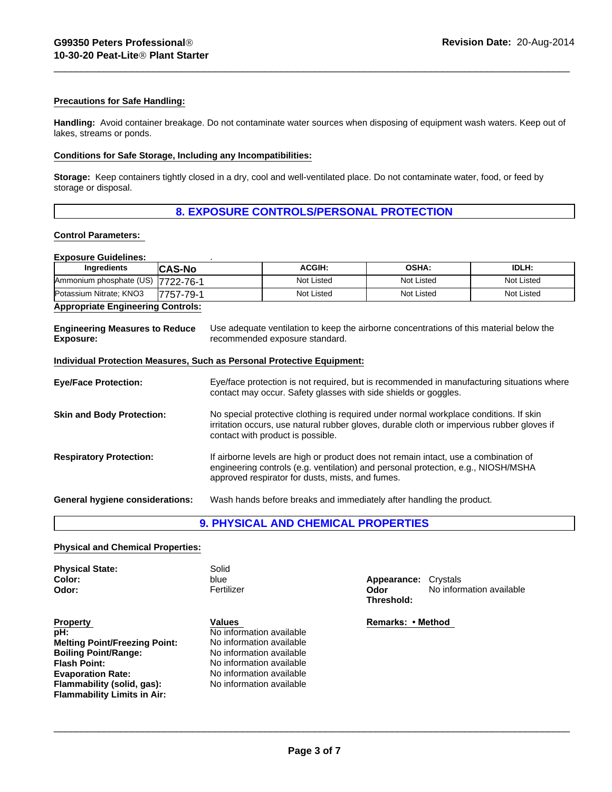## **Precautions for Safe Handling:**

**Handling:** Avoid container breakage. Do not contaminate water sources when disposing of equipment wash waters. Keep out of lakes, streams or ponds.

#### **Conditions for Safe Storage, Including any Incompatibilities:**

**Storage:** Keep containers tightly closed in a dry, cool and well-ventilated place. Do not contaminate water, food, or feed by storage or disposal.

## **8. EXPOSURE CONTROLS/PERSONAL PROTECTION**

#### **Control Parameters:**

## **Exposure Guidelines:** .

| Ingredients             | <b>CAS-No</b> | <b>ACGIH:</b> | <b>OSHA:</b> | IDLH:      |
|-------------------------|---------------|---------------|--------------|------------|
| Ammonium phosphate (US) | 7722-76-1     | Not Listed    | Not Listed   | Not Listed |
| Potassium Nitrate; KNO3 | 7757-79-1     | Not Listed    | Not Listed   | Not Listed |
| .                       |               |               |              |            |

## **Appropriate Engineering Controls:**

| <b>Engineering Measures to Reduce</b><br>Exposure: | Use adequate ventilation to keep the airborne concentrations of this material below the<br>recommended exposure standard.                                    |  |
|----------------------------------------------------|--------------------------------------------------------------------------------------------------------------------------------------------------------------|--|
|                                                    | Individual Protection Measures, Such as Personal Protective Equipment:                                                                                       |  |
| <b>Eye/Face Protection:</b>                        | Eye/face protection is not required, but is recommended in manufacturing situations where<br>contact may occur. Safety glasses with side shields or goggles. |  |

| <b>Skin and Body Protection:</b> | No special protective clothing is required under normal workplace conditions. If skin<br>irritation occurs, use natural rubber gloves, durable cloth or impervious rubber gloves if<br>contact with product is possible. |
|----------------------------------|--------------------------------------------------------------------------------------------------------------------------------------------------------------------------------------------------------------------------|
| <b>Respiratory Protection:</b>   | If airborne levels are high or product does not remain intact, use a combination of                                                                                                                                      |

| In airporne levels are high or product does not remain intact, use a compilation or |
|-------------------------------------------------------------------------------------|
| engineering controls (e.g. ventilation) and personal protection, e.g., NIOSH/MSHA   |
| approved respirator for dusts, mists, and fumes.                                    |
|                                                                                     |

**General hygiene considerations:** Wash hands before breaks and immediately after handling the product.

## **9. PHYSICAL AND CHEMICAL PROPERTIES**

#### **Physical and Chemical Properties:**

| <b>Physical State:</b><br>Color:<br>Odor:                                                                                                                                                                     | Solid<br>blue<br>Fertilizer                                                                                                                                                    | Crystals<br>Appearance:<br>No information available<br>Odor<br>Threshold: |
|---------------------------------------------------------------------------------------------------------------------------------------------------------------------------------------------------------------|--------------------------------------------------------------------------------------------------------------------------------------------------------------------------------|---------------------------------------------------------------------------|
| <b>Property</b><br>pH:<br><b>Melting Point/Freezing Point:</b><br><b>Boiling Point/Range:</b><br>Flash Point:<br><b>Evaporation Rate:</b><br>Flammability (solid, gas):<br><b>Flammability Limits in Air:</b> | Values<br>No information available<br>No information available<br>No information available<br>No information available<br>No information available<br>No information available | Remarks: • Method                                                         |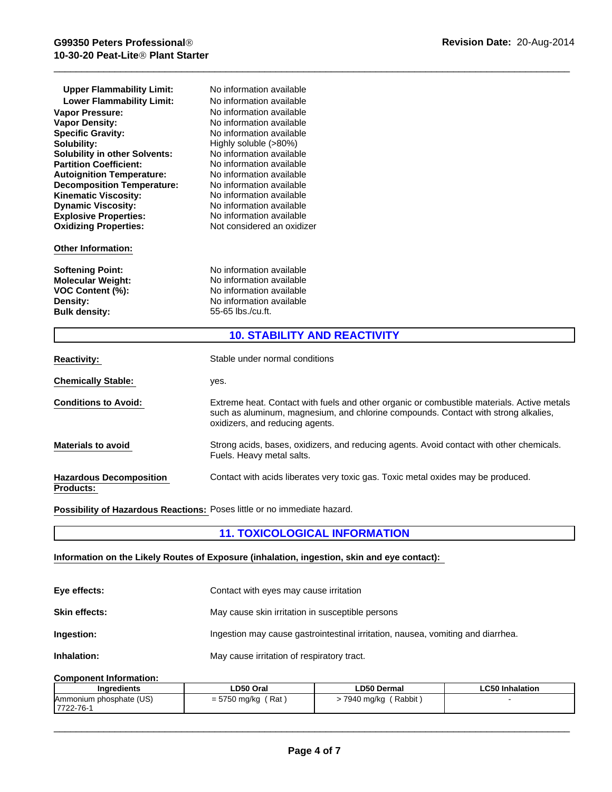| <b>Upper Flammability Limit:</b>     | No information available            |
|--------------------------------------|-------------------------------------|
| <b>Lower Flammability Limit:</b>     | No information available            |
| <b>Vapor Pressure:</b>               | No information available            |
| <b>Vapor Density:</b>                | No information available            |
| <b>Specific Gravity:</b>             | No information available            |
| Solubility:                          | Highly soluble (>80%)               |
| <b>Solubility in other Solvents:</b> | No information available            |
| <b>Partition Coefficient:</b>        | No information available            |
| <b>Autoignition Temperature:</b>     | No information available            |
| <b>Decomposition Temperature:</b>    | No information available            |
| <b>Kinematic Viscosity:</b>          | No information available            |
| <b>Dynamic Viscosity:</b>            | No information available            |
| <b>Explosive Properties:</b>         | No information available            |
| <b>Oxidizing Properties:</b>         | Not considered an oxidizer          |
| <b>Other Information:</b>            |                                     |
| <b>Softening Point:</b>              | No information available            |
| <b>Molecular Weight:</b>             | No information available            |
| VOC Content (%):                     | No information available            |
| Density:                             | No information available            |
| <b>Bulk density:</b>                 | 55-65 lbs./cu.ft.                   |
|                                      | <b>10. STABILITY AND REACTIVITY</b> |
| .                                    |                                     |

| <b>Reactivity:</b>                                 | Stable under normal conditions                                                                                                                                                                                      |
|----------------------------------------------------|---------------------------------------------------------------------------------------------------------------------------------------------------------------------------------------------------------------------|
| <b>Chemically Stable:</b>                          | yes.                                                                                                                                                                                                                |
| <b>Conditions to Avoid:</b>                        | Extreme heat. Contact with fuels and other organic or combustible materials. Active metals<br>such as aluminum, magnesium, and chlorine compounds. Contact with strong alkalies,<br>oxidizers, and reducing agents. |
| <b>Materials to avoid</b>                          | Strong acids, bases, oxidizers, and reducing agents. Avoid contact with other chemicals.<br>Fuels. Heavy metal salts.                                                                                               |
| <b>Hazardous Decomposition</b><br><b>Products:</b> | Contact with acids liberates very toxic gas. Toxic metal oxides may be produced.                                                                                                                                    |

**Possibility of Hazardous Reactions:** Poses little or no immediate hazard.

# **11. TOXICOLOGICAL INFORMATION**

## **Information on the Likely Routes of Exposure (inhalation, ingestion, skin and eye contact):**

| Eye effects:         | Contact with eyes may cause irritation                                          |
|----------------------|---------------------------------------------------------------------------------|
| <b>Skin effects:</b> | May cause skin irritation in susceptible persons                                |
| Ingestion:           | Ingestion may cause gastrointestinal irritation, nausea, vomiting and diarrhea. |
| Inhalation:          | May cause irritation of respiratory tract.                                      |

# **Component Information:**

| Ingredients             | LD50 Oral                                          | <b>LD50 Dermal</b>   | <b>LC50 Inhalation</b> |
|-------------------------|----------------------------------------------------|----------------------|------------------------|
| Ammonium phosphate (US) | Rat,<br><b>6760</b><br>750 mg/kg<br>$ \sim$<br>، ت | Rabbit<br>7940 ma/ka |                        |
| 7722-76-1               |                                                    |                      |                        |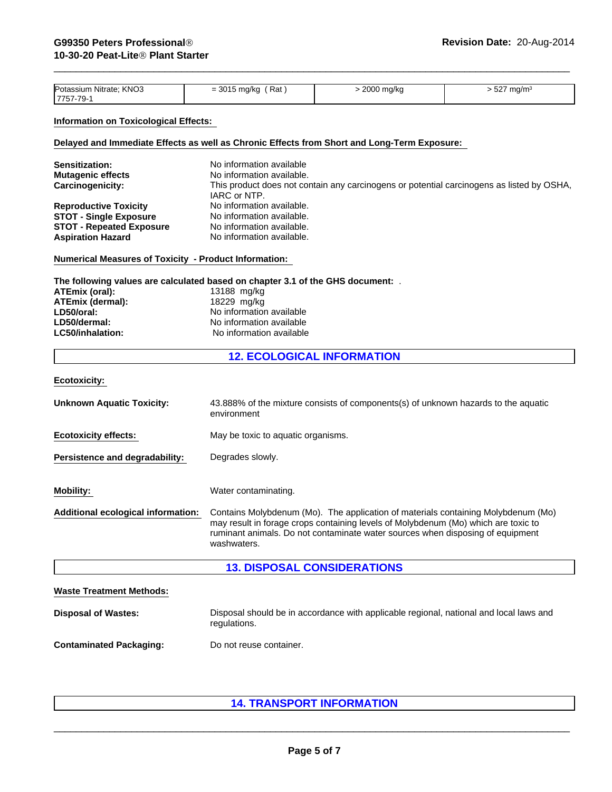| Potassium Nitrate; KNO3<br>17757-79-′ | Rat<br>001E<br>= 3015 ma/ka | 2000 mg/kg | ma/m<br>ວ∠≀ |
|---------------------------------------|-----------------------------|------------|-------------|
|                                       |                             |            |             |

## **Information on Toxicological Effects:**

## **Delayed and Immediate Effects as well as Chronic Effects from Short and Long-Term Exposure:**

| <b>Sensitization:</b>           | No information available                                                                  |
|---------------------------------|-------------------------------------------------------------------------------------------|
| <b>Mutagenic effects</b>        | No information available.                                                                 |
| Carcinogenicity:                | This product does not contain any carcinogens or potential carcinogens as listed by OSHA, |
|                                 | IARC or NTP.                                                                              |
| <b>Reproductive Toxicity</b>    | No information available.                                                                 |
| <b>STOT - Single Exposure</b>   | No information available.                                                                 |
| <b>STOT - Repeated Exposure</b> | No information available.                                                                 |
| <b>Aspiration Hazard</b>        | No information available.                                                                 |
|                                 |                                                                                           |

#### **Numerical Measures of Toxicity - Product Information:**

**The following values are calculated based on chapter 3.1 of the GHS document:** .

| ATEmix (oral):   | 13188 mg/kg              |
|------------------|--------------------------|
| ATEmix (dermal): | 18229 mg/kg              |
| LD50/oral:       | No information available |
| LD50/dermal:     | No information available |
| LC50/inhalation: | No information available |

# **12. ECOLOGICAL INFORMATION**

**Ecotoxicity:** 

| <b>Unknown Aquatic Toxicity:</b>   | 43.888% of the mixture consists of components(s) of unknown hazards to the aquatic<br>environment                                                                                                                                                                        |
|------------------------------------|--------------------------------------------------------------------------------------------------------------------------------------------------------------------------------------------------------------------------------------------------------------------------|
| <b>Ecotoxicity effects:</b>        | May be toxic to aquatic organisms.                                                                                                                                                                                                                                       |
| Persistence and degradability:     | Degrades slowly.                                                                                                                                                                                                                                                         |
| Mobility:                          | Water contaminating.                                                                                                                                                                                                                                                     |
| Additional ecological information: | Contains Molybdenum (Mo). The application of materials containing Molybdenum (Mo)<br>may result in forage crops containing levels of Molybdenum (Mo) which are toxic to<br>ruminant animals. Do not contaminate water sources when disposing of equipment<br>washwaters. |

# **13. DISPOSAL CONSIDERATIONS**

| <b>Waste Treatment Methods:</b> |                                                                                                        |
|---------------------------------|--------------------------------------------------------------------------------------------------------|
| <b>Disposal of Wastes:</b>      | Disposal should be in accordance with applicable regional, national and local laws and<br>regulations. |
| <b>Contaminated Packaging:</b>  | Do not reuse container.                                                                                |

# **14. TRANSPORT INFORMATION**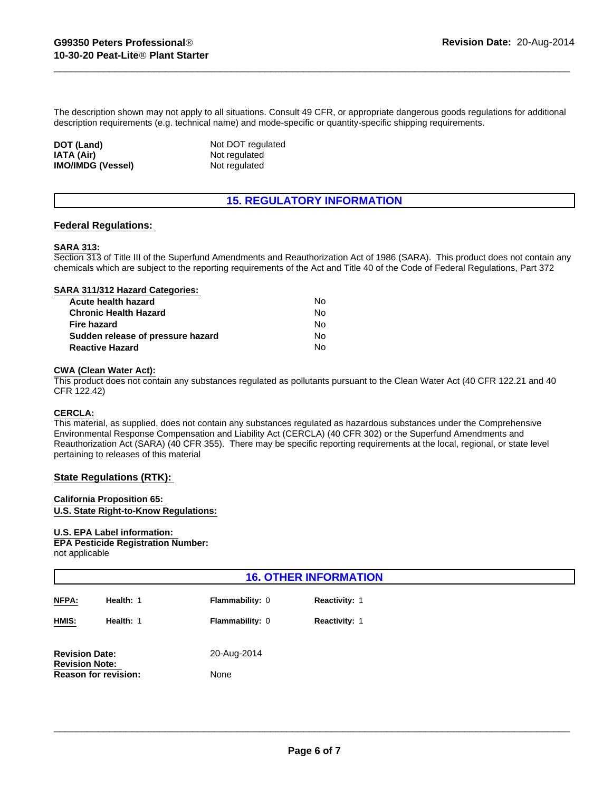The description shown may not apply to all situations. Consult 49 CFR, or appropriate dangerous goods regulations for additional description requirements (e.g. technical name) and mode-specific or quantity-specific shipping requirements.

**IATA (Air)** Not regulated **IMO/IMDG (Vessel)** Not regulated **DOT (Land)** Not DOT regulated

# **15. REGULATORY INFORMATION**

## **Federal Regulations:**

#### **SARA 313:**

Section 313 of Title III of the Superfund Amendments and Reauthorization Act of 1986 (SARA). This product does not contain any chemicals which are subject to the reporting requirements of the Act and Title 40 of the Code of Federal Regulations, Part 372

#### **SARA 311/312 Hazard Categories:**

| Acute health hazard               | No. |  |
|-----------------------------------|-----|--|
| Chronic Health Hazard             | No. |  |
| Fire hazard                       | No. |  |
| Sudden release of pressure hazard | No. |  |
| <b>Reactive Hazard</b>            | No. |  |

#### **CWA (Clean Water Act):**

This product does not contain any substances regulated as pollutants pursuant to the Clean Water Act (40 CFR 122.21 and 40 CFR 122.42)

## **CERCLA:**

This material, as supplied, does not contain any substances regulated as hazardous substances under the Comprehensive Environmental Response Compensation and Liability Act (CERCLA) (40 CFR 302) or the Superfund Amendments and Reauthorization Act (SARA) (40 CFR 355). There may be specific reporting requirements at the local, regional, or state level pertaining to releases of this material

#### **State Regulations (RTK):**

#### **California Proposition 65:**

**U.S. State Right-to-Know Regulations:**

#### **U.S. EPA Label information:**

**EPA Pesticide Registration Number:** not applicable

| <b>16. OTHER INFORMATION</b>                   |           |                        |                      |
|------------------------------------------------|-----------|------------------------|----------------------|
| NFPA:                                          | Health: 1 | <b>Flammability: 0</b> | <b>Reactivity: 1</b> |
| HMIS:                                          | Health: 1 | Flammability: 0        | Reactivity: 1        |
| <b>Revision Date:</b><br><b>Revision Note:</b> |           | 20-Aug-2014            |                      |
| <b>Reason for revision:</b>                    |           | None                   |                      |